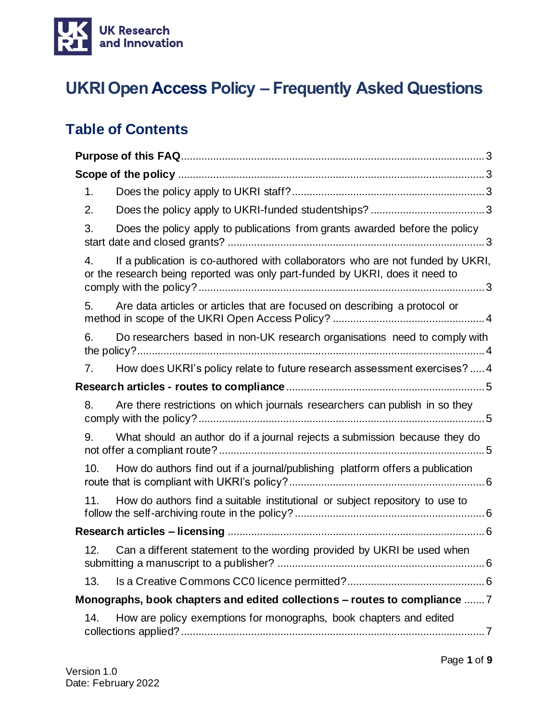

# **UKRI Open Access Policy – Frequently Asked Questions**

### **Table of Contents**

| 1.                                                                                                                                                                   |
|----------------------------------------------------------------------------------------------------------------------------------------------------------------------|
| 2.                                                                                                                                                                   |
| Does the policy apply to publications from grants awarded before the policy<br>3.                                                                                    |
| If a publication is co-authored with collaborators who are not funded by UKRI,<br>4.<br>or the research being reported was only part-funded by UKRI, does it need to |
| 5.<br>Are data articles or articles that are focused on describing a protocol or                                                                                     |
| Do researchers based in non-UK research organisations need to comply with<br>6.                                                                                      |
| How does UKRI's policy relate to future research assessment exercises?  4<br>7.                                                                                      |
|                                                                                                                                                                      |
| Are there restrictions on which journals researchers can publish in so they<br>8.                                                                                    |
| What should an author do if a journal rejects a submission because they do<br>9.                                                                                     |
| 10.<br>How do authors find out if a journal/publishing platform offers a publication                                                                                 |
| How do authors find a suitable institutional or subject repository to use to<br>11.                                                                                  |
|                                                                                                                                                                      |
| Can a different statement to the wording provided by UKRI be used when<br>12.                                                                                        |
| 13.                                                                                                                                                                  |
| Monographs, book chapters and edited collections - routes to compliance  7                                                                                           |
| How are policy exemptions for monographs, book chapters and edited<br>14.                                                                                            |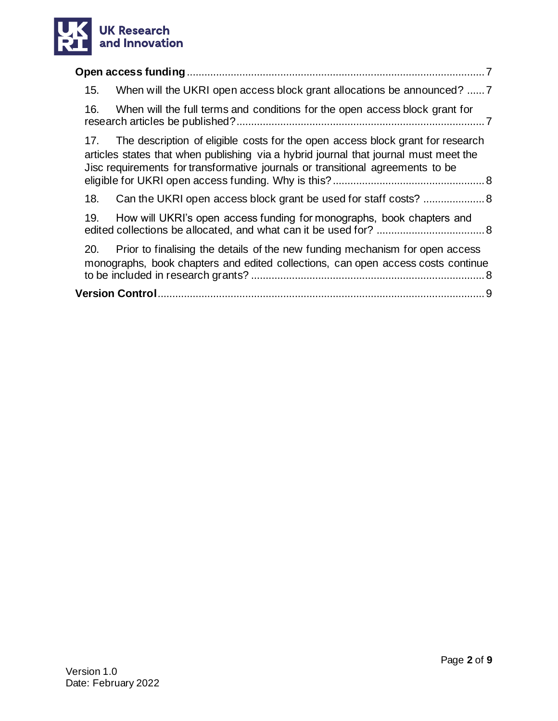

| 15.<br>When will the UKRI open access block grant allocations be announced?  7                                                                                                                                                                                  |  |  |  |  |  |
|-----------------------------------------------------------------------------------------------------------------------------------------------------------------------------------------------------------------------------------------------------------------|--|--|--|--|--|
| 16.<br>When will the full terms and conditions for the open access block grant for                                                                                                                                                                              |  |  |  |  |  |
| The description of eligible costs for the open access block grant for research<br>17.<br>articles states that when publishing via a hybrid journal that journal must meet the<br>Jisc requirements for transformative journals or transitional agreements to be |  |  |  |  |  |
| 18.                                                                                                                                                                                                                                                             |  |  |  |  |  |
| 19.<br>How will UKRI's open access funding for monographs, book chapters and                                                                                                                                                                                    |  |  |  |  |  |
| 20. Prior to finalising the details of the new funding mechanism for open access<br>monographs, book chapters and edited collections, can open access costs continue                                                                                            |  |  |  |  |  |
|                                                                                                                                                                                                                                                                 |  |  |  |  |  |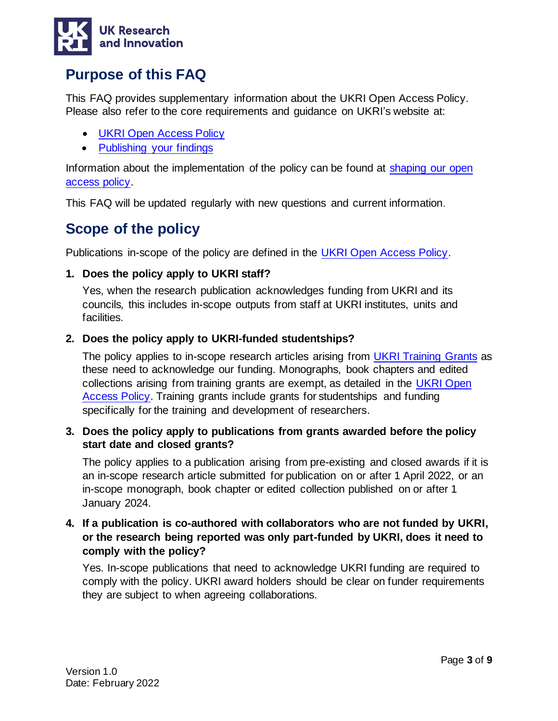

### <span id="page-2-0"></span>**Purpose of this FAQ**

This FAQ provides supplementary information about the UKRI Open Access Policy. Please also refer to the core requirements and guidance on UKRI's website at:

- [UKRI Open Access Policy](https://www.ukri.org/publications/ukri-open-access-policy/)
- [Publishing your findings](https://www.ukri.org/manage-your-award/publishing-your-research-findings/#contents-list)

Information about the implementation of the policy can be found at shaping our open [access policy.](https://www.ukri.org/our-work/supporting-healthy-research-and-innovation-culture/open-research/open-access-policies-review/)

This FAQ will be updated regularly with new questions and current information.

### <span id="page-2-1"></span>**Scope of the policy**

Publications in-scope of the policy are defined in the [UKRI Open Access Policy.](https://www.ukri.org/publications/ukri-open-access-policy/)

### <span id="page-2-2"></span>**1. Does the policy apply to UKRI staff?**

Yes, when the research publication acknowledges funding from UKRI and its councils*,* this includes in-scope outputs from staff at UKRI institutes, units and facilities.

### <span id="page-2-3"></span>**2. Does the policy apply to UKRI-funded studentships?**

The policy applies to in-scope research articles arising from [UKRI Training Grants](https://www.ukri.org/manage-your-award/meeting-ukri-terms-and-conditions-for-funding/) as these need to acknowledge our funding. Monographs, book chapters and edited collections arising from training grants are exempt, as detailed in the [UKRI Open](https://www.ukri.org/publications/ukri-open-access-policy/)  [Access Policy.](https://www.ukri.org/publications/ukri-open-access-policy/) Training grants include grants for studentships and funding specifically for the training and development of researchers.

### <span id="page-2-4"></span>**3. Does the policy apply to publications from grants awarded before the policy start date and closed grants?**

The policy applies to a publication arising from pre-existing and closed awards if it is an in-scope research article submitted for publication on or after 1 April 2022, or an in-scope monograph, book chapter or edited collection published on or after 1 January 2024.

### <span id="page-2-5"></span>**4. If a publication is co-authored with collaborators who are not funded by UKRI, or the research being reported was only part-funded by UKRI, does it need to comply with the policy?**

Yes. In-scope publications that need to acknowledge UKRI funding are required to comply with the policy. UKRI award holders should be clear on funder requirements they are subject to when agreeing collaborations.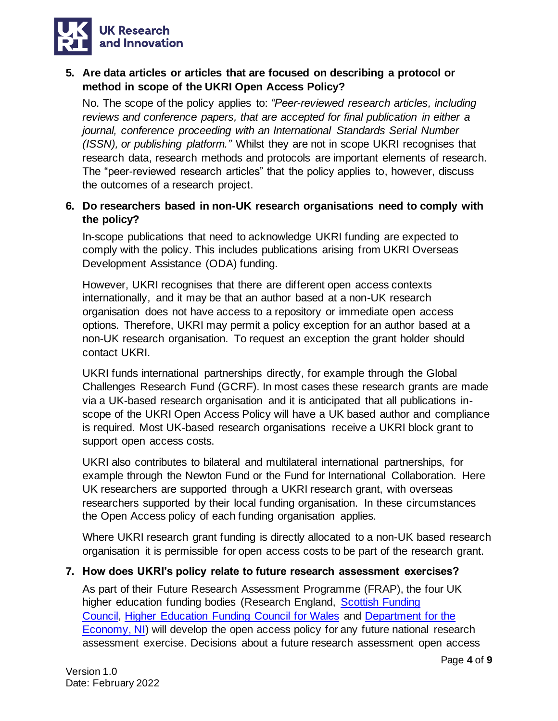

### <span id="page-3-0"></span>**5. Are data articles or articles that are focused on describing a protocol or method in scope of the UKRI Open Access Policy?**

No. The scope of the policy applies to: *"Peer-reviewed research articles, including reviews and conference papers, that are accepted for final publication in either a journal, conference proceeding with an International Standards Serial Number (ISSN), or publishing platform."* Whilst they are not in scope UKRI recognises that research data, research methods and protocols are important elements of research. The "peer-reviewed research articles" that the policy applies to, however, discuss the outcomes of a research project.

### <span id="page-3-1"></span>**6. Do researchers based in non-UK research organisations need to comply with the policy?**

In-scope publications that need to acknowledge UKRI funding are expected to comply with the policy. This includes publications arising from UKRI Overseas Development Assistance (ODA) funding.

However, UKRI recognises that there are different open access contexts internationally, and it may be that an author based at a non-UK research organisation does not have access to a repository or immediate open access options. Therefore, UKRI may permit a policy exception for an author based at a non-UK research organisation. To request an exception the grant holder should contact UKRI.

UKRI funds international partnerships directly, for example through the Global Challenges Research Fund (GCRF). In most cases these research grants are made via a UK-based research organisation and it is anticipated that all publications inscope of the UKRI Open Access Policy will have a UK based author and compliance is required. Most UK-based research organisations receive a UKRI block grant to support open access costs.

UKRI also contributes to bilateral and multilateral international partnerships, for example through the Newton Fund or the Fund for International Collaboration. Here UK researchers are supported through a UKRI research grant, with overseas researchers supported by their local funding organisation. In these circumstances the Open Access policy of each funding organisation applies.

Where UKRI research grant funding is directly allocated to a non-UK based research organisation it is permissible for open access costs to be part of the research grant.

#### <span id="page-3-2"></span>**7. How does UKRI's policy relate to future research assessment exercises?**

As part of their Future Research Assessment Programme (FRAP), the four UK higher education funding bodies (Research England, [Scottish Funding](http://www.sfc.ac.uk/)  [Council,](http://www.sfc.ac.uk/) [Higher Education Funding Council for Wales](https://www.hefcw.ac.uk/) and [Department for the](https://www.economy-ni.gov.uk/articles/higher-education-research-excellence-framework)  [Economy, NI\)](https://www.economy-ni.gov.uk/articles/higher-education-research-excellence-framework) will develop the open access policy for any future national research assessment exercise. Decisions about a future research assessment open access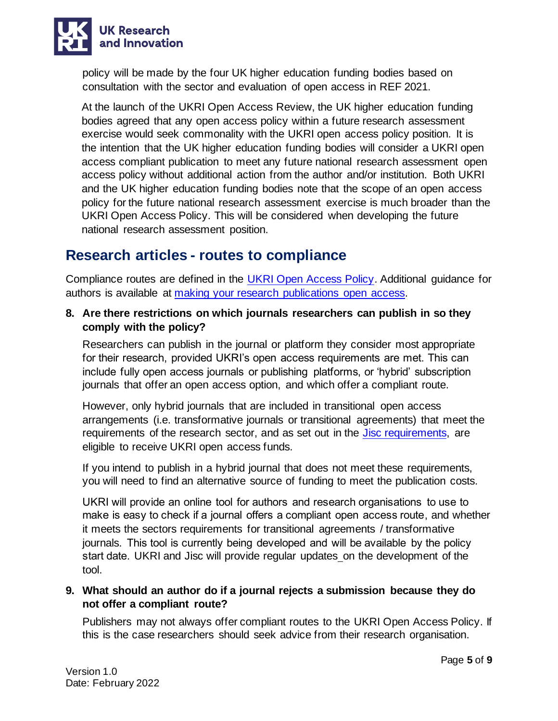

policy will be made by the four UK higher education funding bodies based on consultation with the sector and evaluation of open access in REF 2021.

At the launch of the UKRI Open Access Review, the UK higher education funding bodies agreed that any open access policy within a future research assessment exercise would seek commonality with the UKRI open access policy position. It is the intention that the UK higher education funding bodies will consider a UKRI open access compliant publication to meet any future national research assessment open access policy without additional action from the author and/or institution. Both UKRI and the UK higher education funding bodies note that the scope of an open access policy for the future national research assessment exercise is much broader than the UKRI Open Access Policy. This will be considered when developing the future national research assessment position.

### <span id="page-4-0"></span>**Research articles - routes to compliance**

Compliance routes are defined in the [UKRI Open Access Policy.](https://www.ukri.org/publications/ukri-open-access-policy/) Additional guidance for authors is available at [making your research publications open access.](https://www.ukri.org/manage-your-award/publishing-your-research-findings/making-your-research-publications-open-access/#contents-list)

<span id="page-4-1"></span>**8. Are there restrictions on which journals researchers can publish in so they comply with the policy?**

Researchers can publish in the journal or platform they consider most appropriate for their research, provided UKRI's open access requirements are met. This can include fully open access journals or publishing platforms, or 'hybrid' subscription journals that offer an open access option, and which offer a compliant route.

However, only hybrid journals that are included in transitional open access arrangements (i.e. transformative journals or transitional agreements) that meet the requirements of the research sector, and as set out in the [Jisc requirements,](https://www.jisc.ac.uk/content/open-access/our-role) are eligible to receive UKRI open access funds.

If you intend to publish in a hybrid journal that does not meet these requirements, you will need to find an alternative source of funding to meet the publication costs.

UKRI will provide an online tool for authors and research organisations to use to make is easy to check if a journal offers a compliant open access route, and whether it meets the sectors requirements for transitional agreements / transformative journals. This tool is currently being developed and will be available by the policy start date. UKRI and Jisc will provide regular updates [o](https://www.ukri.org/our-work/supporting-healthy-research-and-innovation-culture/open-research/open-access-policies-review/)n the development of the tool.

<span id="page-4-2"></span>**9. What should an author do if a journal rejects a submission because they do not offer a compliant route?**

Publishers may not always offer compliant routes to the UKRI Open Access Policy. If this is the case researchers should seek advice from their research organisation.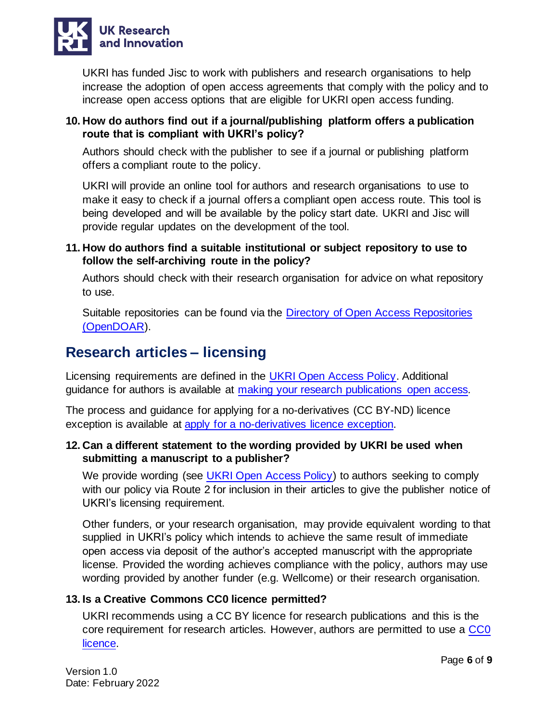

UKRI has funded Jisc to work with publishers and research organisations to help increase the adoption of open access agreements that comply with the policy and to increase open access options that are eligible for UKRI open access funding.

### <span id="page-5-0"></span>**10. How do authors find out if a journal/publishing platform offers a publication route that is compliant with UKRI's policy?**

Authors should check with the publisher to see if a journal or publishing platform offers a compliant route to the policy.

UKRI will provide an online tool for authors and research organisations to use to make it easy to check if a journal offers a compliant open access route. This tool is being developed and will be available by the policy start date. UKRI and Jisc will provide regular updates on the development of the tool.

### <span id="page-5-1"></span>**11. How do authors find a suitable institutional or subject repository to use to follow the self-archiving route in the policy?**

Authors should check with their research organisation for advice on what repository to use.

Suitable repositories can be found via the [Directory of Open Access Repositories](https://www.jisc.ac.uk/opendoar)  [\(OpenDOAR\)](https://www.jisc.ac.uk/opendoar).

### <span id="page-5-2"></span>**Research articles – licensing**

Licensing requirements are defined in the [UKRI Open Access Policy.](https://www.ukri.org/publications/ukri-open-access-policy/) Additional guidance for authors is available at [making your research publications open access.](https://www.ukri.org/manage-your-award/publishing-your-research-findings/making-your-research-publications-open-access/#contents-list)

The process and guidance for applying for a no-derivatives (CC BY-ND) licence exception is available at [apply for a no-derivatives licence exception.](https://www.ukri.org/publications/no-derivatives-licence-exception/)

### <span id="page-5-3"></span>**12. Can a different statement to the wording provided by UKRI be used when submitting a manuscript to a publisher?**

We provide wording (see [UKRI Open Access Policy\)](https://www.ukri.org/publications/ukri-open-access-policy/) to authors seeking to comply with our policy via Route 2 for inclusion in their articles to give the publisher notice of UKRI's licensing requirement.

Other funders, or your research organisation, may provide equivalent wording to that supplied in UKRI's policy which intends to achieve the same result of immediate open access via deposit of the author's accepted manuscript with the appropriate license. Provided the wording achieves compliance with the policy, authors may use wording provided by another funder (e.g. Wellcome) or their research organisation.

### <span id="page-5-4"></span>**13. Is a Creative Commons CC0 licence permitted?**

UKRI recommends using a CC BY licence for research publications and this is the core requirement for research articles. However, authors are permitted to use a [CC0](https://creativecommons.org/publicdomain/zero/1.0/)  [licence.](https://creativecommons.org/publicdomain/zero/1.0/)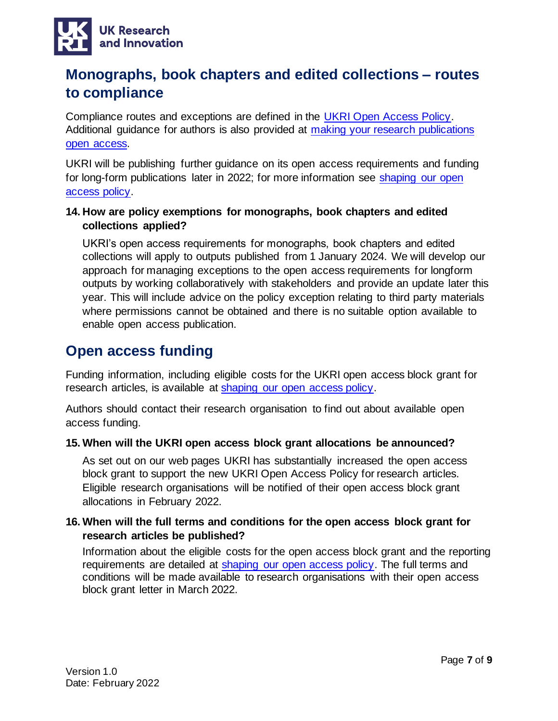

### <span id="page-6-0"></span>**Monographs, book chapters and edited collections – routes to compliance**

Compliance routes and exceptions are defined in the [UKRI Open Access Policy.](https://www.ukri.org/publications/ukri-open-access-policy/) Additional guidance for authors is also provided at [making your research publications](https://www.ukri.org/manage-your-award/publishing-your-research-findings/making-your-research-publications-open-access/#contents-list)  [open access.](https://www.ukri.org/manage-your-award/publishing-your-research-findings/making-your-research-publications-open-access/#contents-list)

UKRI will be publishing further guidance on its open access requirements and funding for long-form publications later in 2022; for more information see [shaping our open](https://www.ukri.org/our-work/supporting-healthy-research-and-innovation-culture/open-research/open-access-policies-review/)  [access policy.](https://www.ukri.org/our-work/supporting-healthy-research-and-innovation-culture/open-research/open-access-policies-review/)

### <span id="page-6-1"></span>**14. How are policy exemptions for monographs, book chapters and edited collections applied?**

UKRI's open access requirements for monographs, book chapters and edited collections will apply to outputs published from 1 January 2024. We will develop our approach for managing exceptions to the open access requirements for longform outputs by working collaboratively with stakeholders and provide an update later this year. This will include advice on the policy exception relating to third party materials where permissions cannot be obtained and there is no suitable option available to enable open access publication.

### <span id="page-6-2"></span>**Open access funding**

Funding information, including eligible costs for the UKRI open access block grant for research articles, is available at [shaping our open access policy.](https://www.ukri.org/our-work/supporting-healthy-research-and-innovation-culture/open-research/open-access-policies-review/)

Authors should contact their research organisation to find out about available open access funding.

### <span id="page-6-3"></span>**15. When will the UKRI open access block grant allocations be announced?**

As set out on our web pages UKRI has substantially increased the open access block grant to support the new UKRI Open Access Policy for research articles. Eligible research organisations will be notified of their open access block grant allocations in February 2022.

### <span id="page-6-4"></span>**16. When will the full terms and conditions for the open access block grant for research articles be published?**

Information about the eligible costs for the open access block grant and the reporting requirements are detailed at [shaping our open access policy.](https://www.ukri.org/our-work/supporting-healthy-research-and-innovation-culture/open-research/open-access-policies-review/) The full terms and conditions will be made available to research organisations with their open access block grant letter in March 2022.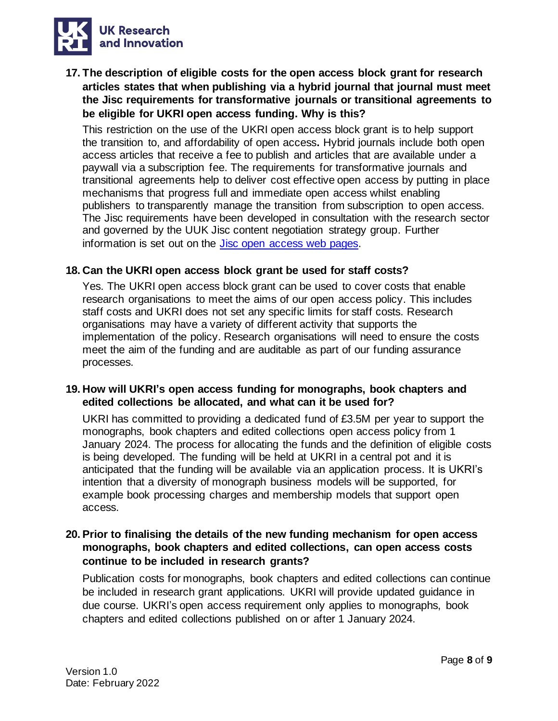

<span id="page-7-0"></span>**17. The description of eligible costs for the open access block grant for research articles states that when publishing via a hybrid journal that journal must meet the Jisc requirements for transformative journals or transitional agreements to be eligible for UKRI open access funding. Why is this?** 

This restriction on the use of the UKRI open access block grant is to help support the transition to, and affordability of open access**.** Hybrid journals include both open access articles that receive a fee to publish and articles that are available under a paywall via a subscription fee. The requirements for transformative journals and transitional agreements help to deliver cost effective open access by putting in place mechanisms that progress full and immediate open access whilst enabling publishers to transparently manage the transition from subscription to open access. The Jisc requirements have been developed in consultation with the research sector and governed by the UUK Jisc content negotiation strategy group. Further information is set out on the [Jisc open access web pages.](https://www.jisc.ac.uk/content/open-access/our-role)

#### <span id="page-7-1"></span>**18. Can the UKRI open access block grant be used for staff costs?**

Yes. The UKRI open access block grant can be used to cover costs that enable research organisations to meet the aims of our open access policy. This includes staff costs and UKRI does not set any specific limits for staff costs. Research organisations may have a variety of different activity that supports the implementation of the policy. Research organisations will need to ensure the costs meet the aim of the funding and are auditable as part of our funding assurance processes.

#### <span id="page-7-2"></span>**19. How will UKRI's open access funding for monographs, book chapters and edited collections be allocated, and what can it be used for?**

UKRI has committed to providing a dedicated fund of £3.5M per year to support the monographs, book chapters and edited collections open access policy from 1 January 2024. The process for allocating the funds and the definition of eligible costs is being developed. The funding will be held at UKRI in a central pot and it is anticipated that the funding will be available via an application process. It is UKRI's intention that a diversity of monograph business models will be supported, for example book processing charges and membership models that support open access.

### <span id="page-7-3"></span>**20. Prior to finalising the details of the new funding mechanism for open access monographs, book chapters and edited collections, can open access costs continue to be included in research grants?**

Publication costs for monographs, book chapters and edited collections can continue be included in research grant applications. UKRI will provide updated guidance in due course. UKRI's open access requirement only applies to monographs, book chapters and edited collections published on or after 1 January 2024.